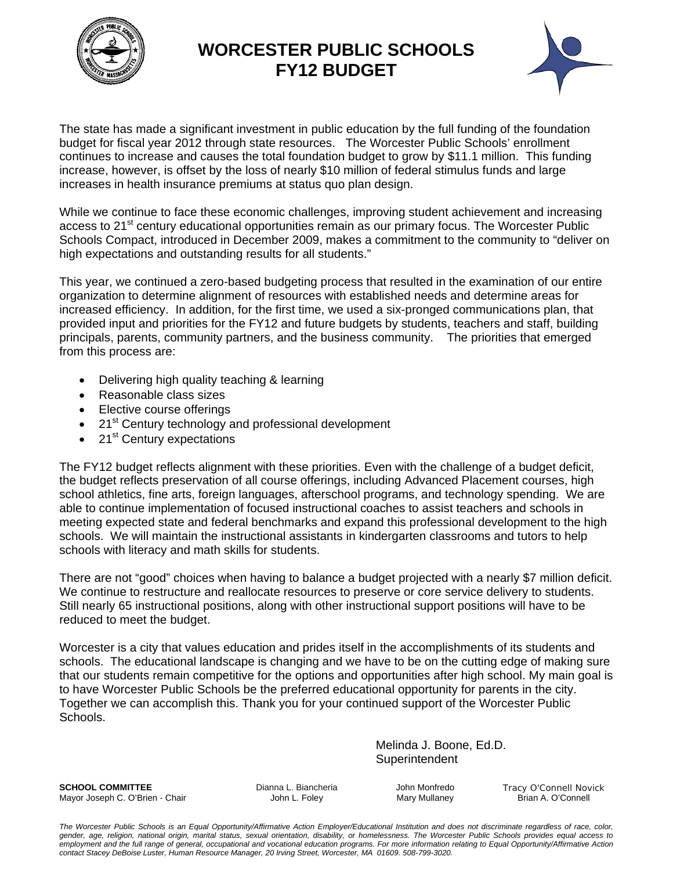

### **WORCESTER PUBLIC SCHOOLS FY12 BUDGET**



The state has made a significant investment in public education by the full funding of the foundation budget for fiscal year 2012 through state resources. The Worcester Public Schools' enrollment continues to increase and causes the total foundation budget to grow by \$11.1 million. This funding increase, however, is offset by the loss of nearly \$10 million of federal stimulus funds and large increases in health insurance premiums at status quo plan design.

While we continue to face these economic challenges, improving student achievement and increasing access to 21<sup>st</sup> century educational opportunities remain as our primary focus. The Worcester Public Schools Compact, introduced in December 2009, makes a commitment to the community to "deliver on high expectations and outstanding results for all students."

This year, we continued a zero-based budgeting process that resulted in the examination of our entire organization to determine alignment of resources with established needs and determine areas for increased efficiency. In addition, for the first time, we used a six-pronged communications plan, that provided input and priorities for the FY12 and future budgets by students, teachers and staff, building principals, parents, community partners, and the business community. The priorities that emerged from this process are:

- Delivering high quality teaching & learning
- Reasonable class sizes
- Elective course offerings
- 21<sup>st</sup> Century technology and professional development
- 21<sup>st</sup> Century expectations

The FY12 budget reflects alignment with these priorities. Even with the challenge of a budget deficit, the budget reflects preservation of all course offerings, including Advanced Placement courses, high school athletics, fine arts, foreign languages, afterschool programs, and technology spending. We are able to continue implementation of focused instructional coaches to assist teachers and schools in meeting expected state and federal benchmarks and expand this professional development to the high schools. We will maintain the instructional assistants in kindergarten classrooms and tutors to help schools with literacy and math skills for students.

There are not "good" choices when having to balance a budget projected with a nearly \$7 million deficit. We continue to restructure and reallocate resources to preserve or core service delivery to students. Still nearly 65 instructional positions, along with other instructional support positions will have to be reduced to meet the budget.

Worcester is a city that values education and prides itself in the accomplishments of its students and schools. The educational landscape is changing and we have to be on the cutting edge of making sure that our students remain competitive for the options and opportunities after high school. My main goal is to have Worcester Public Schools be the preferred educational opportunity for parents in the city. Together we can accomplish this. Thank you for your continued support of the Worcester Public Schools.

> Melinda J. Boone, Ed.D. **Superintendent**

**SCHOOL COMMITTEE Dianna L. Biancheria** John Monfredo Tracy O'Connell Novick Mayor Joseph C. O'Brien - Chair **Mayor John L. Foley** Mary Mullaney Mary Mullaney Brian A. O'Connell

*The Worcester Public Schools is an Equal Opportunity/Affirmative Action Employer/Educational Institution and does not discriminate regardless of race, color, gender, age, religion, national origin, marital status, sexual orientation, disability, or homelessness. The Worcester Public Schools provides equal access to*  employment and the full range of general, occupational and vocational education programs. For more information relating to Equal Opportunity/Affirmative Action *contact Stacey DeBoise Luster, Human Resource Manager, 20 Irving Street, Worcester, MA 01609. 508-799-3020.*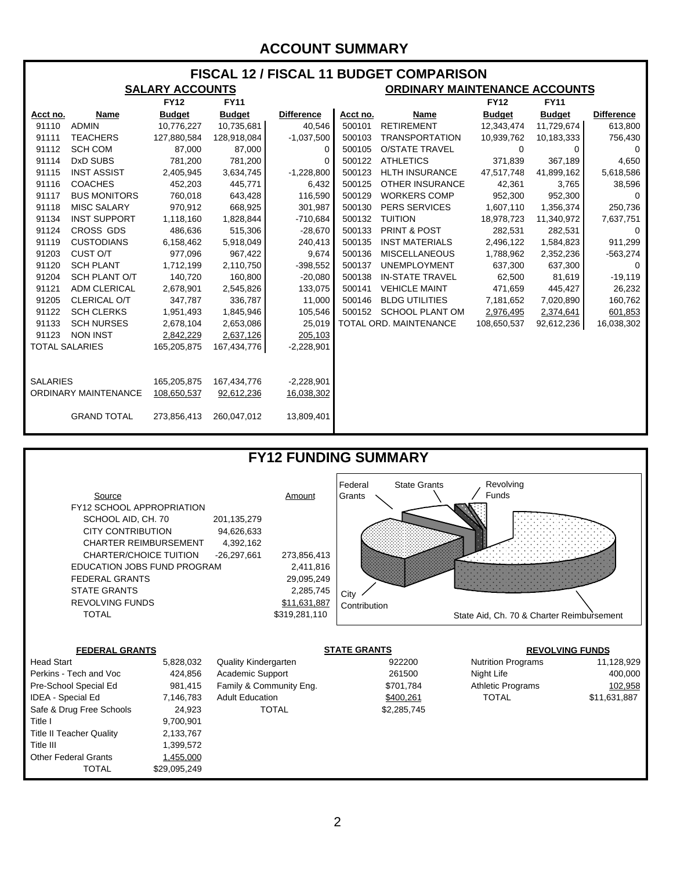#### **ACCOUNT SUMMARY**

#### **FISCAL 12 / FISCAL 11 BUDGET COMPARISON**

|                             |                      | <b>SALARY ACCOUNTS</b> |               |                   |          | <b>ORDINARY MAINTENANCE ACCOUNTS</b> |               |               |                   |  |  |
|-----------------------------|----------------------|------------------------|---------------|-------------------|----------|--------------------------------------|---------------|---------------|-------------------|--|--|
|                             |                      | <b>FY12</b>            | <b>FY11</b>   |                   |          |                                      | <b>FY12</b>   | <b>FY11</b>   |                   |  |  |
| Acct no.                    | Name                 | <b>Budget</b>          | <b>Budget</b> | <b>Difference</b> | Acct no. | Name                                 | <b>Budget</b> | <b>Budget</b> | <b>Difference</b> |  |  |
| 91110                       | <b>ADMIN</b>         | 10,776,227             | 10,735,681    | 40,546            | 500101   | <b>RETIREMENT</b>                    | 12,343,474    | 11,729,674    | 613,800           |  |  |
| 91111                       | <b>TEACHERS</b>      | 127,880,584            | 128,918,084   | $-1,037,500$      | 500103   | <b>TRANSPORTATION</b>                | 10,939,762    | 10,183,333    | 756,430           |  |  |
| 91112                       | <b>SCH COM</b>       | 87,000                 | 87,000        | 0                 | 500105   | <b>O/STATE TRAVEL</b>                | 0             | 0             | $\Omega$          |  |  |
| 91114                       | DxD SUBS             | 781,200                | 781,200       | 0                 | 500122   | <b>ATHLETICS</b>                     | 371,839       | 367,189       | 4,650             |  |  |
| 91115                       | <b>INST ASSIST</b>   | 2,405,945              | 3,634,745     | $-1,228,800$      | 500123   | <b>HLTH INSURANCE</b>                | 47,517,748    | 41,899,162    | 5,618,586         |  |  |
| 91116                       | <b>COACHES</b>       | 452,203                | 445,771       | 6,432             | 500125   | <b>OTHER INSURANCE</b>               | 42,361        | 3,765         | 38,596            |  |  |
| 91117                       | <b>BUS MONITORS</b>  | 760,018                | 643,428       | 116,590           | 500129   | <b>WORKERS COMP</b>                  | 952,300       | 952,300       | $\Omega$          |  |  |
| 91118                       | <b>MISC SALARY</b>   | 970,912                | 668,925       | 301,987           | 500130   | <b>PERS SERVICES</b>                 | 1,607,110     | 1,356,374     | 250,736           |  |  |
| 91134                       | <b>INST SUPPORT</b>  | 1,118,160              | 1,828,844     | $-710,684$        | 500132   | <b>TUITION</b>                       | 18,978,723    | 11,340,972    | 7,637,751         |  |  |
| 91124                       | <b>CROSS GDS</b>     | 486,636                | 515,306       | $-28,670$         | 500133   | PRINT & POST                         | 282,531       | 282,531       | 0                 |  |  |
| 91119                       | <b>CUSTODIANS</b>    | 6,158,462              | 5,918,049     | 240,413           | 500135   | <b>INST MATERIALS</b>                | 2,496,122     | 1,584,823     | 911,299           |  |  |
| 91203                       | CUST O/T             | 977,096                | 967,422       | 9,674             | 500136   | <b>MISCELLANEOUS</b>                 | 1,788,962     | 2,352,236     | $-563,274$        |  |  |
| 91120                       | <b>SCH PLANT</b>     | 1,712,199              | 2,110,750     | $-398,552$        | 500137   | <b>UNEMPLOYMENT</b>                  | 637,300       | 637,300       | $\Omega$          |  |  |
| 91204                       | <b>SCH PLANT O/T</b> | 140,720                | 160,800       | $-20,080$         | 500138   | <b>IN-STATE TRAVEL</b>               | 62,500        | 81,619        | $-19,119$         |  |  |
| 91121                       | <b>ADM CLERICAL</b>  | 2,678,901              | 2,545,826     | 133,075           | 500141   | <b>VEHICLE MAINT</b>                 | 471,659       | 445,427       | 26,232            |  |  |
| 91205                       | CLERICAL O/T         | 347,787                | 336,787       | 11,000            | 500146   | <b>BLDG UTILITIES</b>                | 7,181,652     | 7,020,890     | 160,762           |  |  |
| 91122                       | <b>SCH CLERKS</b>    | 1,951,493              | 1,845,946     | 105,546           | 500152   | <b>SCHOOL PLANT OM</b>               | 2,976,495     | 2,374,641     | 601,853           |  |  |
| 91133                       | <b>SCH NURSES</b>    | 2,678,104              | 2,653,086     | 25,019            |          | <b>TOTAL ORD. MAINTENANCE</b>        | 108,650,537   | 92,612,236    | 16,038,302        |  |  |
| 91123                       | <b>NON INST</b>      | 2,842,229              | 2,637,126     | 205,103           |          |                                      |               |               |                   |  |  |
| <b>TOTAL SALARIES</b>       |                      | 165,205,875            | 167,434,776   | $-2,228,901$      |          |                                      |               |               |                   |  |  |
|                             |                      |                        |               |                   |          |                                      |               |               |                   |  |  |
|                             |                      |                        |               |                   |          |                                      |               |               |                   |  |  |
| <b>SALARIES</b>             |                      | 165,205,875            | 167,434,776   | $-2,228,901$      |          |                                      |               |               |                   |  |  |
| <b>ORDINARY MAINTENANCE</b> |                      | 108,650,537            | 92,612,236    | 16,038,302        |          |                                      |               |               |                   |  |  |
|                             |                      |                        |               |                   |          |                                      |               |               |                   |  |  |
|                             | <b>GRAND TOTAL</b>   | 273,856,413            | 260,047,012   | 13,809,401        |          |                                      |               |               |                   |  |  |
|                             |                      |                        |               |                   |          |                                      |               |               |                   |  |  |

### **FY12 FUNDING SUMMARY**



| <b>Head Start</b>               | 5,828,032    | <b>Quality Kindergarten</b> | 922200      | <b>Nutrition Programs</b> | 11,128,929   |
|---------------------------------|--------------|-----------------------------|-------------|---------------------------|--------------|
| Perkins - Tech and Voc          | 424,856      | <b>Academic Support</b>     | 261500      | Night Life                | 400,000      |
| Pre-School Special Ed           | 981,415      | Family & Community Eng.     | \$701,784   | <b>Athletic Programs</b>  | 102,958      |
| <b>IDEA - Special Ed</b>        | 7,146,783    | <b>Adult Education</b>      | \$400,261   | <b>TOTAL</b>              | \$11,631,887 |
| Safe & Drug Free Schools        | 24.923       | TOTAL                       | \$2,285,745 |                           |              |
| Title I                         | 9.700.901    |                             |             |                           |              |
| <b>Title II Teacher Quality</b> | 2.133.767    |                             |             |                           |              |
| Title III                       | 1.399.572    |                             |             |                           |              |
| <b>Other Federal Grants</b>     | 1,455,000    |                             |             |                           |              |
| <b>TOTAL</b>                    | \$29,095,249 |                             |             |                           |              |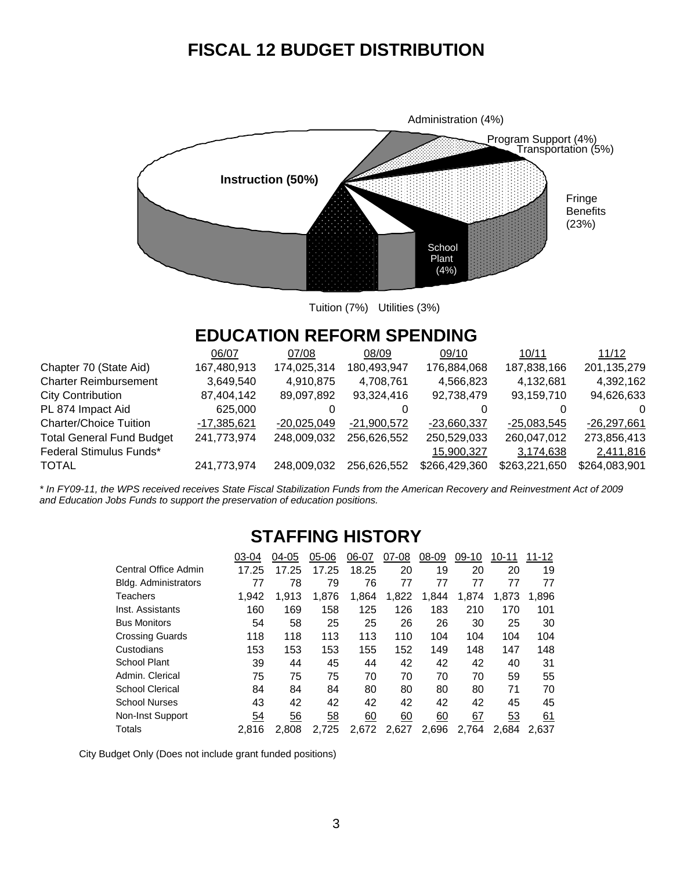## **FISCAL 12 BUDGET DISTRIBUTION**



Tuition (7%) Utilities (3%)

## **EDUCATION REFORM SPENDING**

|                                  | 06/07       | 07/08         | 08/09         | 09/10         | 10/11         | 11/12         |
|----------------------------------|-------------|---------------|---------------|---------------|---------------|---------------|
| Chapter 70 (State Aid)           | 167,480,913 | 174,025,314   | 180,493,947   | 176,884,068   | 187,838,166   | 201,135,279   |
| <b>Charter Reimbursement</b>     | 3,649,540   | 4,910,875     | 4,708,761     | 4,566,823     | 4,132,681     | 4,392,162     |
| City Contribution                | 87,404,142  | 89,097,892    | 93,324,416    | 92,738,479    | 93,159,710    | 94,626,633    |
| PL 874 Impact Aid                | 625,000     |               |               |               |               | $\Omega$      |
| <b>Charter/Choice Tuition</b>    | -17,385,621 | $-20.025.049$ | $-21,900,572$ | $-23,660,337$ | $-25,083,545$ | $-26,297,661$ |
| <b>Total General Fund Budget</b> | 241,773,974 | 248,009,032   | 256,626,552   | 250,529,033   | 260,047,012   | 273,856,413   |
| Federal Stimulus Funds*          |             |               |               | 15,900,327    | 3,174,638     | 2,411,816     |
| TOTAL                            | 241,773,974 | 248,009,032   | 256,626,552   | \$266,429,360 | \$263,221,650 | \$264,083,901 |
|                                  |             |               |               |               |               |               |

*\* In FY09-11, the WPS received receives State Fiscal Stabilization Funds from the American Recovery and Reinvestment Act of 2009 and Education Jobs Funds to support the preservation of education positions.* 

### **STAFFING HISTORY**

|                        | 03-04 | 04-05 | 05-06 | 06-07 | 07-08 | 08-09 | 09-10 | 10-11 | 11-12 |
|------------------------|-------|-------|-------|-------|-------|-------|-------|-------|-------|
| Central Office Admin   | 17.25 | 17.25 | 17.25 | 18.25 | 20    | 19    | 20    | 20    | 19    |
| Bldg. Administrators   | 77    | 78    | 79    | 76    | 77    | 77    | 77    | 77    | 77    |
| <b>Teachers</b>        | 1.942 | 1.913 | 1.876 | 1,864 | 1,822 | 1,844 | 1,874 | 1,873 | 1,896 |
| Inst. Assistants       | 160   | 169   | 158   | 125   | 126   | 183   | 210   | 170   | 101   |
| <b>Bus Monitors</b>    | 54    | 58    | 25    | 25    | 26    | 26    | 30    | 25    | 30    |
| <b>Crossing Guards</b> | 118   | 118   | 113   | 113   | 110   | 104   | 104   | 104   | 104   |
| Custodians             | 153   | 153   | 153   | 155   | 152   | 149   | 148   | 147   | 148   |
| <b>School Plant</b>    | 39    | 44    | 45    | 44    | 42    | 42    | 42    | 40    | 31    |
| Admin. Clerical        | 75    | 75    | 75    | 70    | 70    | 70    | 70    | 59    | 55    |
| <b>School Clerical</b> | 84    | 84    | 84    | 80    | 80    | 80    | 80    | 71    | 70    |
| <b>School Nurses</b>   | 43    | 42    | 42    | 42    | 42    | 42    | 42    | 45    | 45    |
| Non-Inst Support       | 54    | 56    | 58    | 60    | 60    | 60    | 67    | 53    | 61    |
| Totals                 | 2.816 | 2.808 | 2.725 | 2.672 | 2.627 | 2.696 | 2.764 | 2.684 | 2.637 |

City Budget Only (Does not include grant funded positions)